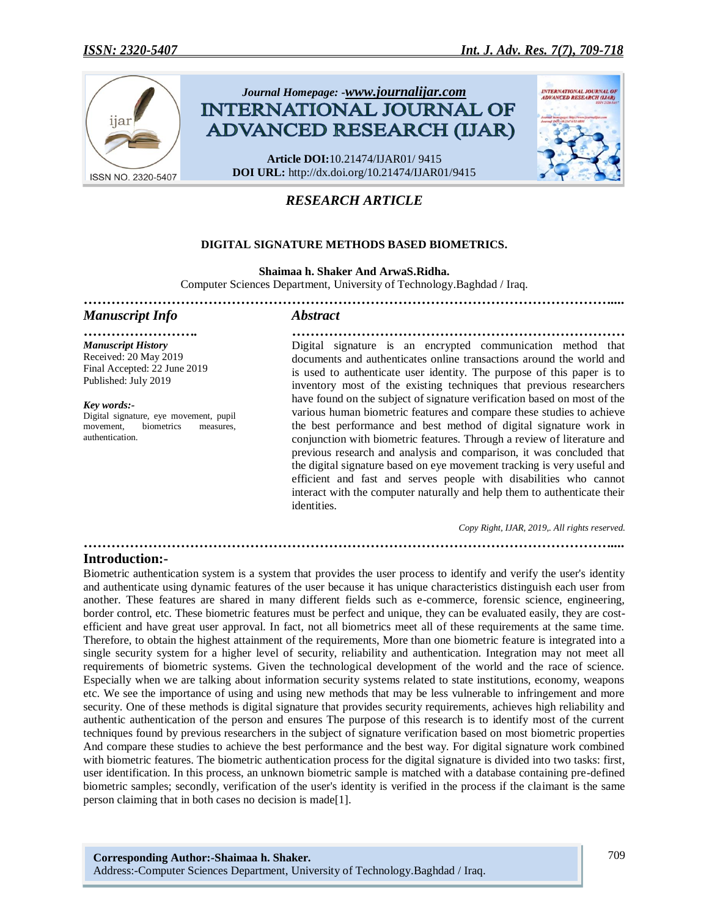

# *RESEARCH ARTICLE*

## **DIGITAL SIGNATURE METHODS BASED BIOMETRICS.**

**Shaimaa h. Shaker And ArwaS.Ridha.**

*……………………………………………………………………………………………………....*

Computer Sciences Department, University of Technology.Baghdad / Iraq.

## *Manuscript Info Abstract*

*Manuscript History* Received: 20 May 2019 Final Accepted: 22 June 2019 Published: July 2019

Digital signature, eye movement, pupil movement, biometrics measures,

*Key words:-*

authentication.

*……………………. ………………………………………………………………* Digital signature is an encrypted communication method that documents and authenticates online transactions around the world and is used to authenticate user identity. The purpose of this paper is to inventory most of the existing techniques that previous researchers have found on the subject of signature verification based on most of the various human biometric features and compare these studies to achieve the best performance and best method of digital signature work in conjunction with biometric features. Through a review of literature and previous research and analysis and comparison, it was concluded that the digital signature based on eye movement tracking is very useful and efficient and fast and serves people with disabilities who cannot interact with the computer naturally and help them to authenticate their identities.

 *Copy Right, IJAR, 2019,. All rights reserved.*

*……………………………………………………………………………………………………....*

## **Introduction:-**

Biometric authentication system is a system that provides the user process to identify and verify the user's identity and authenticate using dynamic features of the user because it has unique characteristics distinguish each user from another. These features are shared in many different fields such as e-commerce, forensic science, engineering, border control, etc. These biometric features must be perfect and unique, they can be evaluated easily, they are costefficient and have great user approval. In fact, not all biometrics meet all of these requirements at the same time. Therefore, to obtain the highest attainment of the requirements, More than one biometric feature is integrated into a single security system for a higher level of security, reliability and authentication. Integration may not meet all requirements of biometric systems. Given the technological development of the world and the race of science. Especially when we are talking about information security systems related to state institutions, economy, weapons etc. We see the importance of using and using new methods that may be less vulnerable to infringement and more security. One of these methods is digital signature that provides security requirements, achieves high reliability and authentic authentication of the person and ensures The purpose of this research is to identify most of the current techniques found by previous researchers in the subject of signature verification based on most biometric properties And compare these studies to achieve the best performance and the best way. For digital signature work combined with biometric features. The biometric authentication process for the digital signature is divided into two tasks: first, user identification. In this process, an unknown biometric sample is matched with a database containing pre-defined biometric samples; secondly, verification of the user's identity is verified in the process if the claimant is the same person claiming that in both cases no decision is made[1].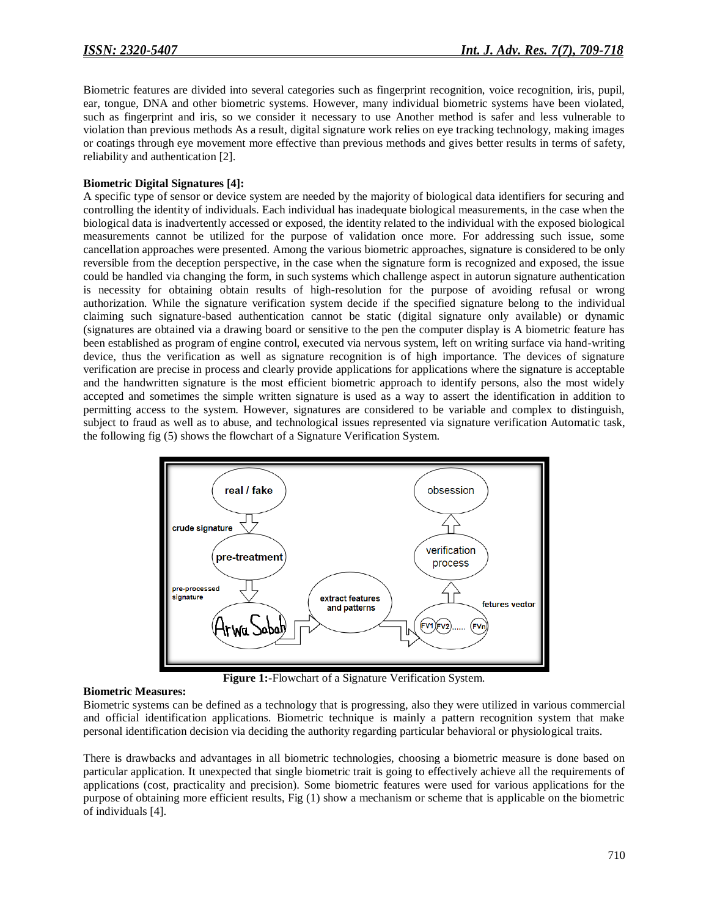Biometric features are divided into several categories such as fingerprint recognition, voice recognition, iris, pupil, ear, tongue, DNA and other biometric systems. However, many individual biometric systems have been violated, such as fingerprint and iris, so we consider it necessary to use Another method is safer and less vulnerable to violation than previous methods As a result, digital signature work relies on eye tracking technology, making images or coatings through eye movement more effective than previous methods and gives better results in terms of safety, reliability and authentication [2].

#### **Biometric Digital Signatures [4]:**

A specific type of sensor or device system are needed by the majority of biological data identifiers for securing and controlling the identity of individuals. Each individual has inadequate biological measurements, in the case when the biological data is inadvertently accessed or exposed, the identity related to the individual with the exposed biological measurements cannot be utilized for the purpose of validation once more. For addressing such issue, some cancellation approaches were presented. Among the various biometric approaches, signature is considered to be only reversible from the deception perspective, in the case when the signature form is recognized and exposed, the issue could be handled via changing the form, in such systems which challenge aspect in autorun signature authentication is necessity for obtaining obtain results of high-resolution for the purpose of avoiding refusal or wrong authorization. While the signature verification system decide if the specified signature belong to the individual claiming such signature-based authentication cannot be static (digital signature only available) or dynamic (signatures are obtained via a drawing board or sensitive to the pen the computer display is A biometric feature has been established as program of engine control, executed via nervous system, left on writing surface via hand-writing device, thus the verification as well as signature recognition is of high importance. The devices of signature verification are precise in process and clearly provide applications for applications where the signature is acceptable and the handwritten signature is the most efficient biometric approach to identify persons, also the most widely accepted and sometimes the simple written signature is used as a way to assert the identification in addition to permitting access to the system. However, signatures are considered to be variable and complex to distinguish, subject to fraud as well as to abuse, and technological issues represented via signature verification Automatic task, the following fig (5) shows the flowchart of a Signature Verification System.



**Figure 1:-**Flowchart of a Signature Verification System.

#### **Biometric Measures:**

Biometric systems can be defined as a technology that is progressing, also they were utilized in various commercial and official identification applications. Biometric technique is mainly a pattern recognition system that make personal identification decision via deciding the authority regarding particular behavioral or physiological traits.

There is drawbacks and advantages in all biometric technologies, choosing a biometric measure is done based on particular application. It unexpected that single biometric trait is going to effectively achieve all the requirements of applications (cost, practicality and precision). Some biometric features were used for various applications for the purpose of obtaining more efficient results, Fig (1) show a mechanism or scheme that is applicable on the biometric of individuals [4].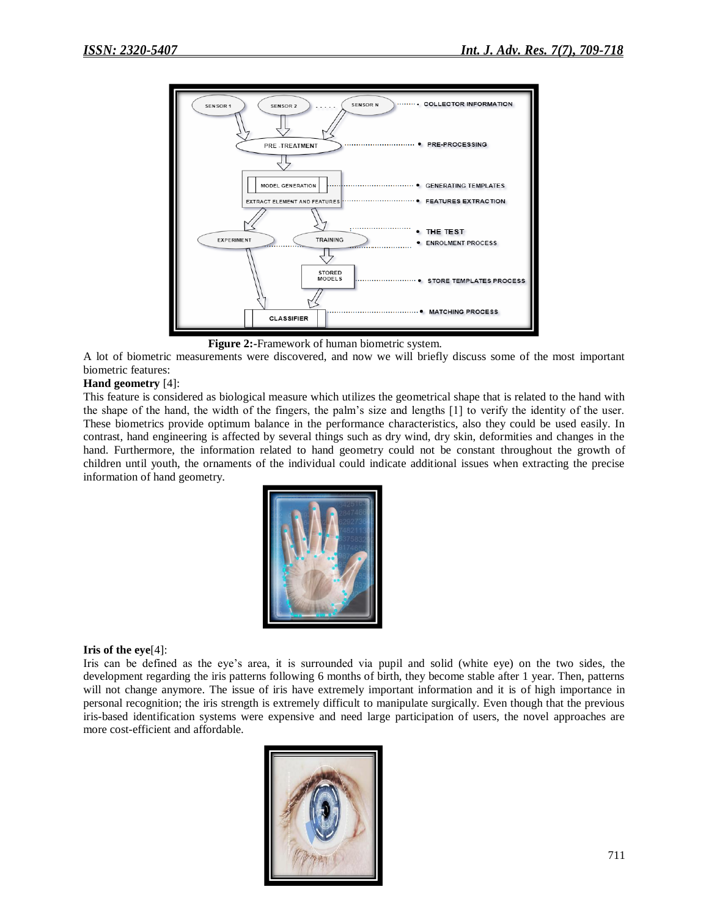

**Figure 2:-**Framework of human biometric system.

A lot of biometric measurements were discovered, and now we will briefly discuss some of the most important biometric features:

## **Hand geometry** [4]:

This feature is considered as biological measure which utilizes the geometrical shape that is related to the hand with the shape of the hand, the width of the fingers, the palm's size and lengths [1] to verify the identity of the user. These biometrics provide optimum balance in the performance characteristics, also they could be used easily. In contrast, hand engineering is affected by several things such as dry wind, dry skin, deformities and changes in the hand. Furthermore, the information related to hand geometry could not be constant throughout the growth of children until youth, the ornaments of the individual could indicate additional issues when extracting the precise information of hand geometry.



#### **Iris of the eye**[4]:

Iris can be defined as the eye's area, it is surrounded via pupil and solid (white eye) on the two sides, the development regarding the iris patterns following 6 months of birth, they become stable after 1 year. Then, patterns will not change anymore. The issue of iris have extremely important information and it is of high importance in personal recognition; the iris strength is extremely difficult to manipulate surgically. Even though that the previous iris-based identification systems were expensive and need large participation of users, the novel approaches are more cost-efficient and affordable.

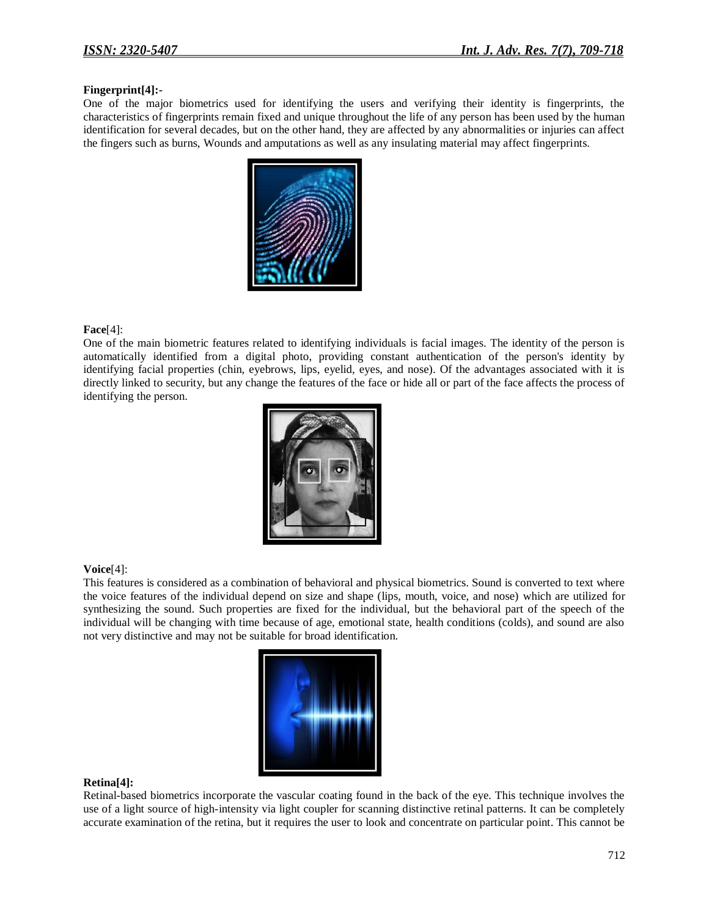### **Fingerprint[4]:-**

One of the major biometrics used for identifying the users and verifying their identity is fingerprints, the characteristics of fingerprints remain fixed and unique throughout the life of any person has been used by the human identification for several decades, but on the other hand, they are affected by any abnormalities or injuries can affect the fingers such as burns, Wounds and amputations as well as any insulating material may affect fingerprints.



#### **Face**[4]:

One of the main biometric features related to identifying individuals is facial images. The identity of the person is automatically identified from a digital photo, providing constant authentication of the person's identity by identifying facial properties (chin, eyebrows, lips, eyelid, eyes, and nose). Of the advantages associated with it is directly linked to security, but any change the features of the face or hide all or part of the face affects the process of identifying the person.



#### **Voice**[4]:

This features is considered as a combination of behavioral and physical biometrics. Sound is converted to text where the voice features of the individual depend on size and shape (lips, mouth, voice, and nose) which are utilized for synthesizing the sound. Such properties are fixed for the individual, but the behavioral part of the speech of the individual will be changing with time because of age, emotional state, health conditions (colds), and sound are also not very distinctive and may not be suitable for broad identification.



#### **Retina[4]:**

Retinal-based biometrics incorporate the vascular coating found in the back of the eye. This technique involves the use of a light source of high-intensity via light coupler for scanning distinctive retinal patterns. It can be completely accurate examination of the retina, but it requires the user to look and concentrate on particular point. This cannot be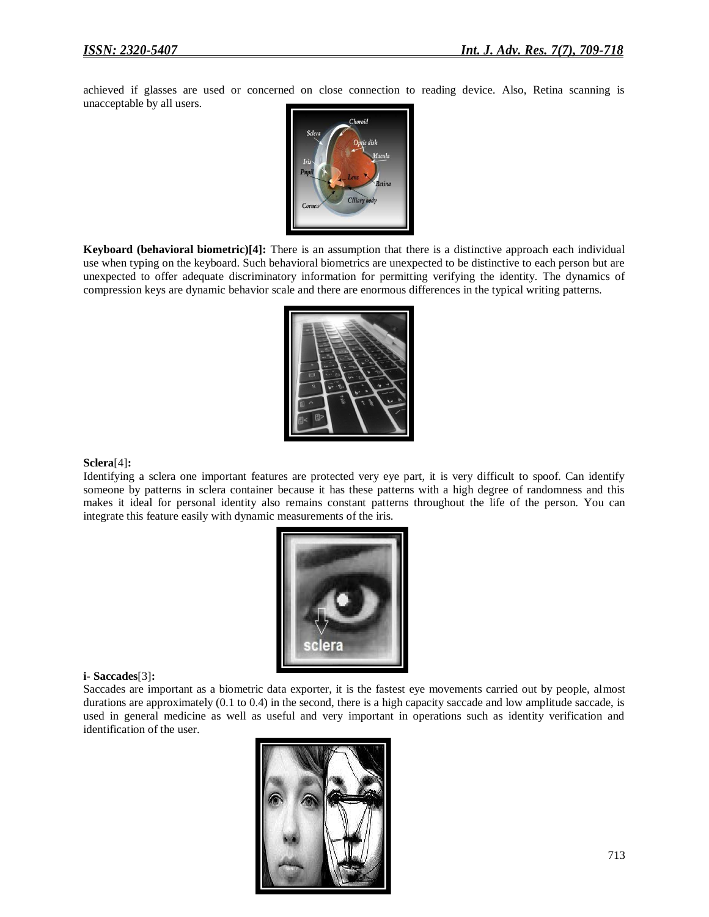achieved if glasses are used or concerned on close connection to reading device. Also, Retina scanning is unacceptable by all users.



**Keyboard (behavioral biometric)[4]:** There is an assumption that there is a distinctive approach each individual use when typing on the keyboard. Such behavioral biometrics are unexpected to be distinctive to each person but are unexpected to offer adequate discriminatory information for permitting verifying the identity. The dynamics of compression keys are dynamic behavior scale and there are enormous differences in the typical writing patterns.



#### **Sclera**[4]**:**

Identifying a sclera one important features are protected very eye part, it is very difficult to spoof. Can identify someone by patterns in sclera container because it has these patterns with a high degree of randomness and this makes it ideal for personal identity also remains constant patterns throughout the life of the person. You can integrate this feature easily with dynamic measurements of the iris.



#### **i- Saccades**[3]**:**

Saccades are important as a biometric data exporter, it is the fastest eye movements carried out by people, almost durations are approximately  $(0.1 \text{ to } 0.4)$  in the second, there is a high capacity saccade and low amplitude saccade, is used in general medicine as well as useful and very important in operations such as identity verification and identification of the user.

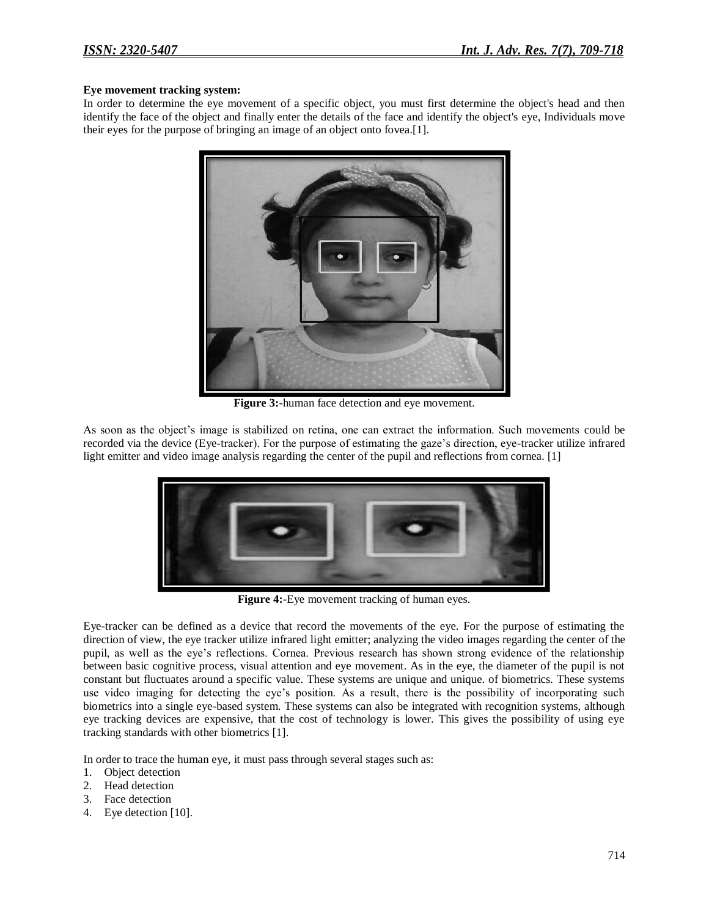### **Eye movement tracking system:**

In order to determine the eye movement of a specific object, you must first determine the object's head and then identify the face of the object and finally enter the details of the face and identify the object's eye, Individuals move their eyes for the purpose of bringing an image of an object onto fovea.[1].



**Figure 3:-**human face detection and eye movement.

As soon as the object's image is stabilized on retina, one can extract the information. Such movements could be recorded via the device (Eye-tracker). For the purpose of estimating the gaze's direction, eye-tracker utilize infrared light emitter and video image analysis regarding the center of the pupil and reflections from cornea. [1]



**Figure 4:-**Eye movement tracking of human eyes.

Eye-tracker can be defined as a device that record the movements of the eye. For the purpose of estimating the direction of view, the eye tracker utilize infrared light emitter; analyzing the video images regarding the center of the pupil, as well as the eye's reflections. Cornea. Previous research has shown strong evidence of the relationship between basic cognitive process, visual attention and eye movement. As in the eye, the diameter of the pupil is not constant but fluctuates around a specific value. These systems are unique and unique. of biometrics. These systems use video imaging for detecting the eye's position. As a result, there is the possibility of incorporating such biometrics into a single eye-based system. These systems can also be integrated with recognition systems, although eye tracking devices are expensive, that the cost of technology is lower. This gives the possibility of using eye tracking standards with other biometrics [1].

In order to trace the human eye, it must pass through several stages such as:

- 1. Object detection
- 2. Head detection
- 3. Face detection
- 4. Eye detection [10].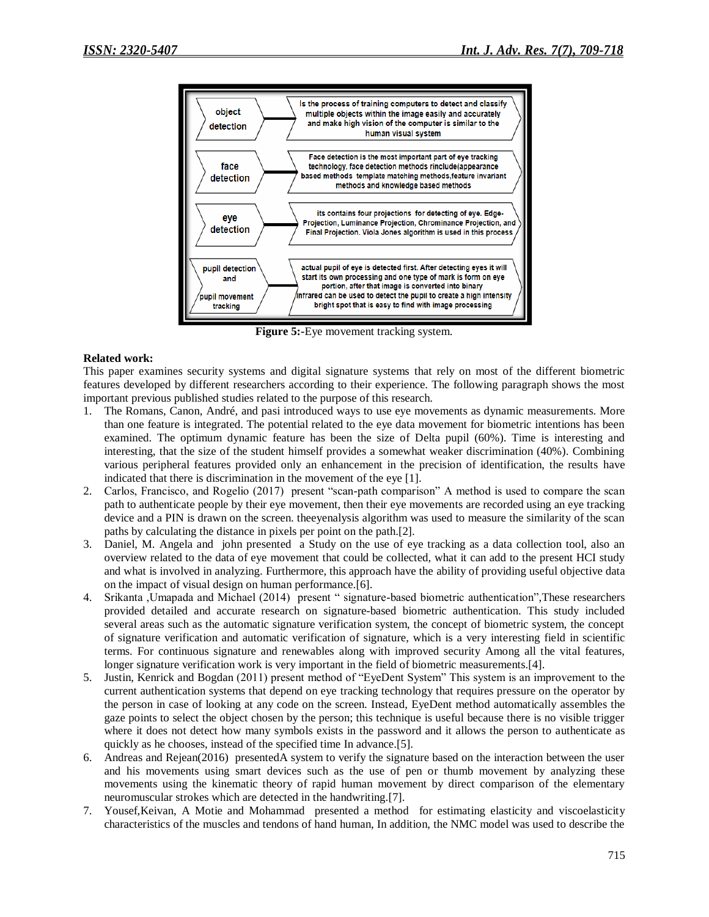

**Figure 5:-**Eye movement tracking system.

#### **Related work:**

This paper examines security systems and digital signature systems that rely on most of the different biometric features developed by different researchers according to their experience. The following paragraph shows the most important previous published studies related to the purpose of this research.

- 1. The Romans, Canon, André, and pasi introduced ways to use eye movements as dynamic measurements. More than one feature is integrated. The potential related to the eye data movement for biometric intentions has been examined. The optimum dynamic feature has been the size of Delta pupil (60%). Time is interesting and interesting, that the size of the student himself provides a somewhat weaker discrimination (40%). Combining various peripheral features provided only an enhancement in the precision of identification, the results have indicated that there is discrimination in the movement of the eye [1].
- 2. Carlos, Francisco, and Rogelio (2017) present "scan-path comparison" A method is used to compare the scan path to authenticate people by their eye movement, then their eye movements are recorded using an eye tracking device and a PIN is drawn on the screen. theeyenalysis algorithm was used to measure the similarity of the scan paths by calculating the distance in pixels per point on the path.[2].
- 3. Daniel, M. Angela and john presented a Study on the use of eye tracking as a data collection tool, also an overview related to the data of eye movement that could be collected, what it can add to the present HCI study and what is involved in analyzing. Furthermore, this approach have the ability of providing useful objective data on the impact of visual design on human performance.[6].
- 4. Srikanta ,Umapada and Michael (2014) present " signature-based biometric authentication",These researchers provided detailed and accurate research on signature-based biometric authentication. This study included several areas such as the automatic signature verification system, the concept of biometric system, the concept of signature verification and automatic verification of signature, which is a very interesting field in scientific terms. For continuous signature and renewables along with improved security Among all the vital features, longer signature verification work is very important in the field of biometric measurements.[4].
- 5. Justin, Kenrick and Bogdan (2011) present method of "EyeDent System" This system is an improvement to the current authentication systems that depend on eye tracking technology that requires pressure on the operator by the person in case of looking at any code on the screen. Instead, EyeDent method automatically assembles the gaze points to select the object chosen by the person; this technique is useful because there is no visible trigger where it does not detect how many symbols exists in the password and it allows the person to authenticate as quickly as he chooses, instead of the specified time In advance.[5].
- 6. Andreas and Rejean(2016) presentedA system to verify the signature based on the interaction between the user and his movements using smart devices such as the use of pen or thumb movement by analyzing these movements using the kinematic theory of rapid human movement by direct comparison of the elementary neuromuscular strokes which are detected in the handwriting.[7].
- 7. Yousef,Keivan, A Motie and Mohammad presented a method for estimating elasticity and viscoelasticity characteristics of the muscles and tendons of hand human, In addition, the NMC model was used to describe the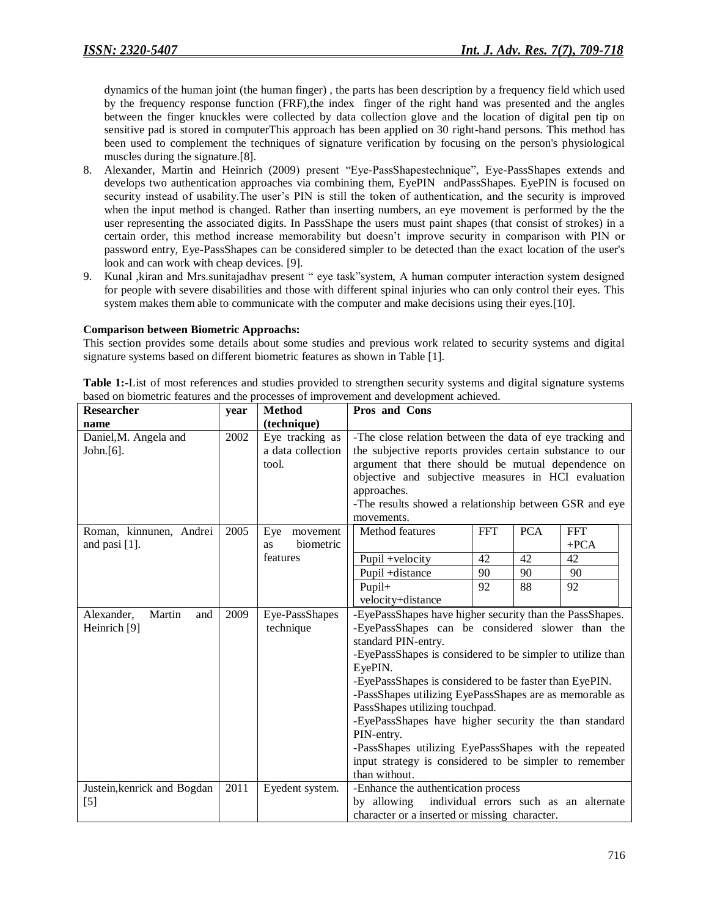dynamics of the human joint (the human finger) , the parts has been description by a frequency field which used by the frequency response function (FRF),the index finger of the right hand was presented and the angles between the finger knuckles were collected by data collection glove and the location of digital pen tip on sensitive pad is stored in computerThis approach has been applied on 30 right-hand persons. This method has been used to complement the techniques of signature verification by focusing on the person's physiological muscles during the signature.[8].

- 8. Alexander, Martin and Heinrich (2009) present "Eye-PassShapestechnique", Eye-PassShapes extends and develops two authentication approaches via combining them, EyePIN andPassShapes. EyePIN is focused on security instead of usability.The user's PIN is still the token of authentication, and the security is improved when the input method is changed. Rather than inserting numbers, an eye movement is performed by the the user representing the associated digits. In PassShape the users must paint shapes (that consist of strokes) in a certain order, this method increase memorability but doesn't improve security in comparison with PIN or password entry, Eye-PassShapes can be considered simpler to be detected than the exact location of the user's look and can work with cheap devices. [9].
- 9. Kunal ,kiran and Mrs.sunitajadhav present " eye task"system, A human computer interaction system designed for people with severe disabilities and those with different spinal injuries who can only control their eyes. This system makes them able to communicate with the computer and make decisions using their eyes.[10].

#### **Comparison between Biometric Approachs:**

This section provides some details about some studies and previous work related to security systems and digital signature systems based on different biometric features as shown in Table [1].

| Researcher                                  | year | <b>Method</b>                                  | <b>Pros and Cons</b>                                                                                                                                                                                                                                                                                                                                                                                                                                                                                                                                                           |
|---------------------------------------------|------|------------------------------------------------|--------------------------------------------------------------------------------------------------------------------------------------------------------------------------------------------------------------------------------------------------------------------------------------------------------------------------------------------------------------------------------------------------------------------------------------------------------------------------------------------------------------------------------------------------------------------------------|
| name                                        |      | (technique)                                    |                                                                                                                                                                                                                                                                                                                                                                                                                                                                                                                                                                                |
| Daniel, M. Angela and<br>John. $[6]$ .      | 2002 | Eye tracking as<br>a data collection<br>tool.  | -The close relation between the data of eye tracking and<br>the subjective reports provides certain substance to our<br>argument that there should be mutual dependence on<br>objective and subjective measures in HCI evaluation<br>approaches.<br>-The results showed a relationship between GSR and eye                                                                                                                                                                                                                                                                     |
| Roman, kinnunen, Andrei<br>and pasi [1].    | 2005 | Eye<br>movement<br>biometric<br>as<br>features | movements.<br><b>PCA</b><br>Method features<br><b>FFT</b><br><b>FFT</b><br>$+{\rm PCA}$<br>42<br>Pupil +velocity<br>42<br>42<br>Pupil +distance<br>90<br>90<br>90<br>Pupil+<br>92<br>88<br>92<br>velocity+distance                                                                                                                                                                                                                                                                                                                                                             |
| Alexander,<br>Martin<br>and<br>Heinrich [9] | 2009 | Eye-PassShapes<br>technique                    | -EyePassShapes have higher security than the PassShapes.<br>-EyePassShapes can be considered slower than the<br>standard PIN-entry.<br>-EyePassShapes is considered to be simpler to utilize than<br>EyePIN.<br>-EyePassShapes is considered to be faster than EyePIN.<br>-PassShapes utilizing EyePassShapes are as memorable as<br>PassShapes utilizing touchpad.<br>-EyePassShapes have higher security the than standard<br>PIN-entry.<br>-PassShapes utilizing EyePassShapes with the repeated<br>input strategy is considered to be simpler to remember<br>than without. |
| Justein, kenrick and Bogdan<br>$[5]$        | 2011 | Eyedent system.                                | -Enhance the authentication process<br>individual errors such as an alternate<br>by allowing<br>character or a inserted or missing character.                                                                                                                                                                                                                                                                                                                                                                                                                                  |

**Table 1:-**List of most references and studies provided to strengthen security systems and digital signature systems based on biometric features and the processes of improvement and development achieved.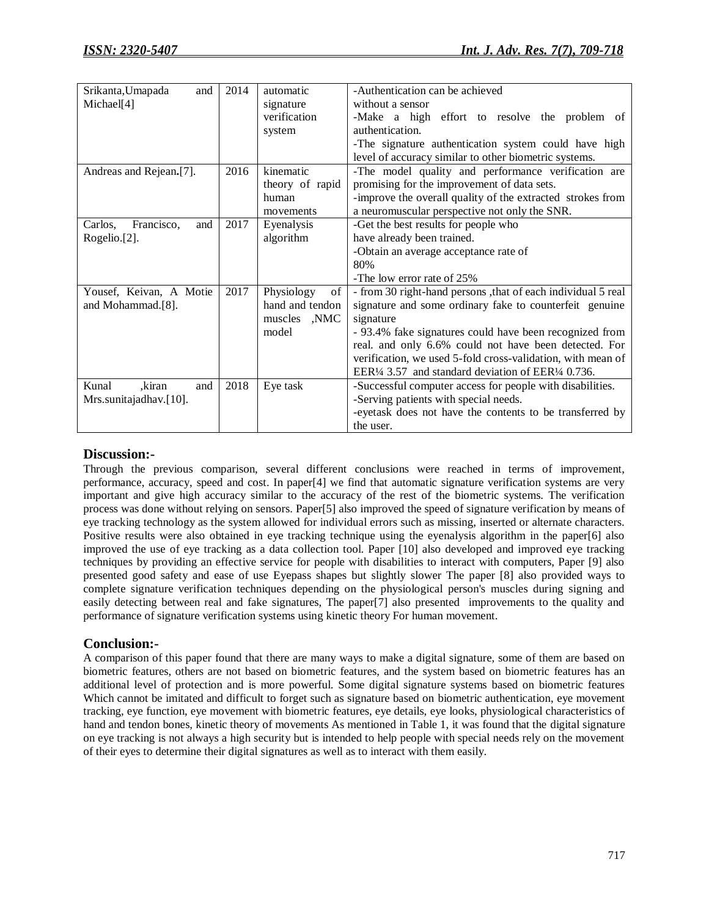| Srikanta, Umapada<br>and     | 2014 | automatic        | -Authentication can be achieved                              |
|------------------------------|------|------------------|--------------------------------------------------------------|
| Michael <sup>[4]</sup>       |      | signature        | without a sensor                                             |
|                              |      | verification     | -Make a high effort to resolve the problem of                |
|                              |      | system           | authentication.                                              |
|                              |      |                  | -The signature authentication system could have high         |
|                              |      |                  | level of accuracy similar to other biometric systems.        |
| Andreas and Rejean.[7].      | 2016 | kinematic        | -The model quality and performance verification are          |
|                              |      | theory of rapid  | promising for the improvement of data sets.                  |
|                              |      | human            | -improve the overall quality of the extracted strokes from   |
|                              |      | movements        | a neuromuscular perspective not only the SNR.                |
| Francisco,<br>Carlos,<br>and | 2017 | Eyenalysis       | -Get the best results for people who                         |
| Rogelio.[2].                 |      | algorithm        | have already been trained.                                   |
|                              |      |                  | -Obtain an average acceptance rate of                        |
|                              |      |                  | 80%                                                          |
|                              |      |                  | -The low error rate of 25%                                   |
| Yousef, Keivan, A Motie      | 2017 | Physiology<br>of | - from 30 right-hand persons, that of each individual 5 real |
| and Mohammad.[8].            |      | hand and tendon  | signature and some ordinary fake to counterfeit genuine      |
|                              |      | muscles ,NMC     | signature                                                    |
|                              |      | model            | - 93.4% fake signatures could have been recognized from      |
|                              |      |                  | real. and only 6.6% could not have been detected. For        |
|                              |      |                  | verification, we used 5-fold cross-validation, with mean of  |
|                              |      |                  | EER1/4 3.57 and standard deviation of EER1/4 0.736.          |
| Kunal<br>kiran,<br>and       | 2018 | Eye task         | -Successful computer access for people with disabilities.    |
| Mrs.sunitajadhav.[10].       |      |                  | -Serving patients with special needs.                        |
|                              |      |                  | -eyetask does not have the contents to be transferred by     |
|                              |      |                  | the user.                                                    |

## **Discussion:-**

Through the previous comparison, several different conclusions were reached in terms of improvement, performance, accuracy, speed and cost. In paper[4] we find that automatic signature verification systems are very important and give high accuracy similar to the accuracy of the rest of the biometric systems. The verification process was done without relying on sensors. Paper[5] also improved the speed of signature verification by means of eye tracking technology as the system allowed for individual errors such as missing, inserted or alternate characters. Positive results were also obtained in eye tracking technique using the eyenalysis algorithm in the paper[6] also improved the use of eye tracking as a data collection tool. Paper [10] also developed and improved eye tracking techniques by providing an effective service for people with disabilities to interact with computers, Paper [9] also presented good safety and ease of use Eyepass shapes but slightly slower The paper [8] also provided ways to complete signature verification techniques depending on the physiological person's muscles during signing and easily detecting between real and fake signatures, The paper[7] also presented improvements to the quality and performance of signature verification systems using kinetic theory For human movement.

## **Conclusion:-**

A comparison of this paper found that there are many ways to make a digital signature, some of them are based on biometric features, others are not based on biometric features, and the system based on biometric features has an additional level of protection and is more powerful. Some digital signature systems based on biometric features Which cannot be imitated and difficult to forget such as signature based on biometric authentication, eye movement tracking, eye function, eye movement with biometric features, eye details, eye looks, physiological characteristics of hand and tendon bones, kinetic theory of movements As mentioned in Table 1, it was found that the digital signature on eye tracking is not always a high security but is intended to help people with special needs rely on the movement of their eyes to determine their digital signatures as well as to interact with them easily.